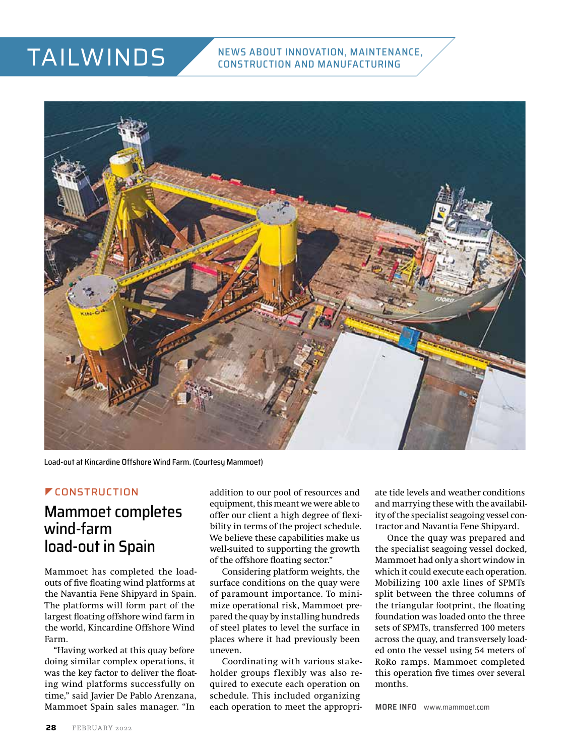## TAILWINDS



Load-out at Kincardine Offshore Wind Farm. (Courtesy Mammoet)

#### **CONSTRUCTION**

## Mammoet completes wind-farm load-out in Spain

Mammoet has completed the loadouts of five floating wind platforms at the Navantia Fene Shipyard in Spain. The platforms will form part of the largest floating offshore wind farm in the world, Kincardine Offshore Wind Farm.

"Having worked at this quay before doing similar complex operations, it was the key factor to deliver the floating wind platforms successfully on time," said Javier De Pablo Arenzana, Mammoet Spain sales manager. "In

addition to our pool of resources and equipment, this meant we were able to offer our client a high degree of flexibility in terms of the project schedule. We believe these capabilities make us well-suited to supporting the growth of the offshore floating sector."

Considering platform weights, the surface conditions on the quay were of paramount importance. To minimize operational risk, Mammoet prepared the quay by installing hundreds of steel plates to level the surface in places where it had previously been uneven.

Coordinating with various stakeholder groups flexibly was also required to execute each operation on schedule. This included organizing each operation to meet the appropriate tide levels and weather conditions and marrying these with the availability of the specialist seagoing vessel contractor and Navantia Fene Shipyard.

Once the quay was prepared and the specialist seagoing vessel docked, Mammoet had only a short window in which it could execute each operation. Mobilizing 100 axle lines of SPMTs split between the three columns of the triangular footprint, the floating foundation was loaded onto the three sets of SPMTs, transferred 100 meters across the quay, and transversely loaded onto the vessel using 54 meters of RoRo ramps. Mammoet completed this operation five times over several months.

**MORE INFO** [www.mammoet.com](http://www.mammoet.com)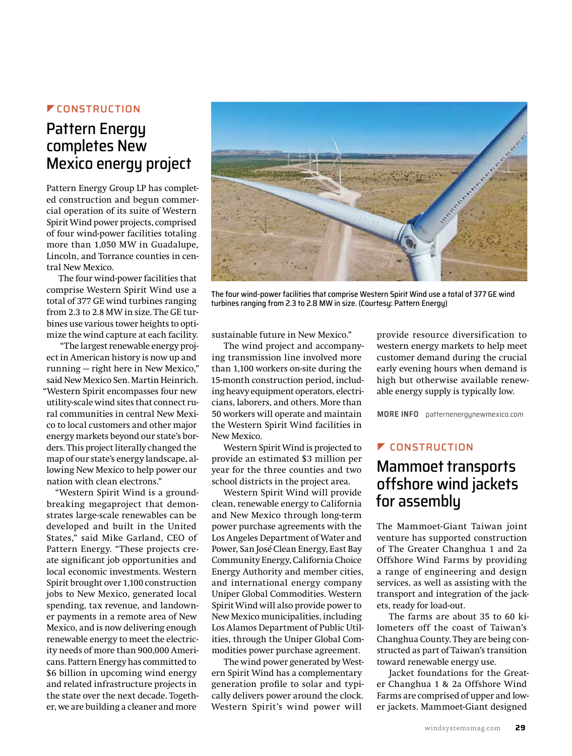#### **ZEONSTRUCTION**

## Pattern Energy completes New Mexico energy project

Pattern Energy Group LP has completed construction and begun commercial operation of its suite of Western Spirit Wind power projects, comprised of four wind-power facilities totaling more than 1,050 MW in Guadalupe, Lincoln, and Torrance counties in central New Mexico.

The four wind-power facilities that comprise Western Spirit Wind use a total of 377 GE wind turbines ranging from 2.3 to 2.8 MW in size. The GE turbines use various tower heights to optimize the wind capture at each facility.

 "The largest renewable energy project in American history is now up and running — right here in New Mexico," said New Mexico Sen. Martin Heinrich. "Western Spirit encompasses four new utility-scale wind sites that connect rural communities in central New Mexico to local customers and other major energy markets beyond our state's borders. This project literally changed the map of our state's energy landscape, allowing New Mexico to help power our nation with clean electrons."

"Western Spirit Wind is a groundbreaking megaproject that demonstrates large-scale renewables can be developed and built in the United States," said Mike Garland, CEO of Pattern Energy. "These projects create significant job opportunities and local economic investments. Western Spirit brought over 1,100 construction jobs to New Mexico, generated local spending, tax revenue, and landowner payments in a remote area of New Mexico, and is now delivering enough renewable energy to meet the electricity needs of more than 900,000 Americans. Pattern Energy has committed to \$6 billion in upcoming wind energy and related infrastructure projects in the state over the next decade. Together, we are building a cleaner and more



The four wind-power facilities that comprise Western Spirit Wind use a total of 377 GE wind turbines ranging from 2.3 to 2.8 MW in size. (Courtesy: Pattern Energy)

sustainable future in New Mexico."

The wind project and accompanying transmission line involved more than 1,100 workers on-site during the 15-month construction period, including heavy equipment operators, electricians, laborers, and others. More than 50 workers will operate and maintain the Western Spirit Wind facilities in New Mexico.

Western Spirit Wind is projected to provide an estimated \$3 million per year for the three counties and two school districts in the project area.

Western Spirit Wind will provide clean, renewable energy to California and New Mexico through long-term power purchase agreements with the Los Angeles Department of Water and Power, San José Clean Energy, East Bay Community Energy, California Choice Energy Authority and member cities, and international energy company Uniper Global Commodities. Western Spirit Wind will also provide power to New Mexico municipalities, including Los Alamos Department of Public Utilities, through the Uniper Global Commodities power purchase agreement.

The wind power generated by Western Spirit Wind has a complementary generation profile to solar and typically delivers power around the clock. Western Spirit's wind power will

provide resource diversification to western energy markets to help meet customer demand during the crucial early evening hours when demand is high but otherwise available renewable energy supply is typically low.

**MORE INFO** patternenergynewmexico.com

#### *E* CONSTRUCTION

## Mammoet transports offshore wind jackets for assembly

The Mammoet-Giant Taiwan joint venture has supported construction of The Greater Changhua 1 and 2a Offshore Wind Farms by providing a range of engineering and design services, as well as assisting with the transport and integration of the jackets, ready for load-out.

The farms are about 35 to 60 kilometers off the coast of Taiwan's Changhua County. They are being constructed as part of Taiwan's transition toward renewable energy use.

Jacket foundations for the Greater Changhua 1 & 2a Offshore Wind Farms are comprised of upper and lower jackets. Mammoet-Giant designed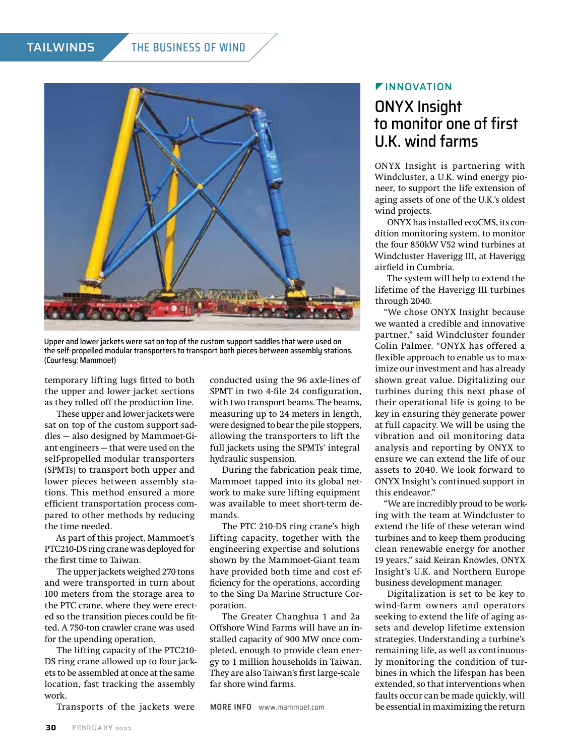#### TAILWINDS THE BUSINESS OF WIND



Upper and lower jackets were sat on top of the custom support saddles that were used on the self-propelled modular transporters to transport both pieces between assembly stations. (Courtesy: Mammoet)

temporary lifting lugs fitted to both the upper and lower jacket sections as they rolled off the production line.

These upper and lower jackets were sat on top of the custom support saddles — also designed by Mammoet-Giant engineers — that were used on the self-propelled modular transporters (SPMTs) to transport both upper and lower pieces between assembly stations. This method ensured a more efficient transportation process compared to other methods by reducing the time needed.

As part of this project, Mammoet's PTC210-DS ring crane was deployed for the first time to Taiwan.

The upper jackets weighed 270 tons and were transported in turn about 100 meters from the storage area to the PTC crane, where they were erected so the transition pieces could be fitted. A 750-ton crawler crane was used for the upending operation.

The lifting capacity of the PTC210- DS ring crane allowed up to four jackets to be assembled at once at the same location, fast tracking the assembly work.

Transports of the jackets were

conducted using the 96 axle-lines of SPMT in two 4-file 24 configuration, with two transport beams. The beams, measuring up to 24 meters in length, were designed to bear the pile stoppers, allowing the transporters to lift the full jackets using the SPMTs' integral hydraulic suspension.

During the fabrication peak time, Mammoet tapped into its global network to make sure lifting equipment was available to meet short-term demands.

The PTC 210-DS ring crane's high lifting capacity, together with the engineering expertise and solutions shown by the Mammoet-Giant team have provided both time and cost efficiency for the operations, according to the Sing Da Marine Structure Corporation.

The Greater Changhua 1 and 2a Offshore Wind Farms will have an installed capacity of 900 MW once completed, enough to provide clean energy to 1 million households in Taiwan. They are also Taiwan's first large-scale far shore wind farms.

**MORE INFO** [www.mammoet.com](http://www.mammoet.com)

#### *VINNOVATION*

## ONYX Insight to monitor one of first U.K. wind farms

ONYX Insight is partnering with Windcluster, a U.K. wind energy pioneer, to support the life extension of aging assets of one of the U.K.'s oldest wind projects.

ONYX has installed ecoCMS, its condition monitoring system, to monitor the four 850kW V52 wind turbines at Windcluster Haverigg III, at Haverigg airfield in Cumbria.

The system will help to extend the lifetime of the Haverigg III turbines through 2040.

"We chose ONYX Insight because we wanted a credible and innovative partner," said Windcluster founder Colin Palmer. "ONYX has offered a flexible approach to enable us to maximize our investment and has already shown great value. Digitalizing our turbines during this next phase of their operational life is going to be key in ensuring they generate power at full capacity. We will be using the vibration and oil monitoring data analysis and reporting by ONYX to ensure we can extend the life of our assets to 2040. We look forward to ONYX Insight's continued support in this endeavor."

"We are incredibly proud to be working with the team at Windcluster to extend the life of these veteran wind turbines and to keep them producing clean renewable energy for another 19 years," said Keiran Knowles, ONYX Insight's U.K. and Northern Europe business development manager.

Digitalization is set to be key to wind-farm owners and operators seeking to extend the life of aging assets and develop lifetime extension strategies. Understanding a turbine's remaining life, as well as continuously monitoring the condition of turbines in which the lifespan has been extended, so that interventions when faults occur can be made quickly, will be essential in maximizing the return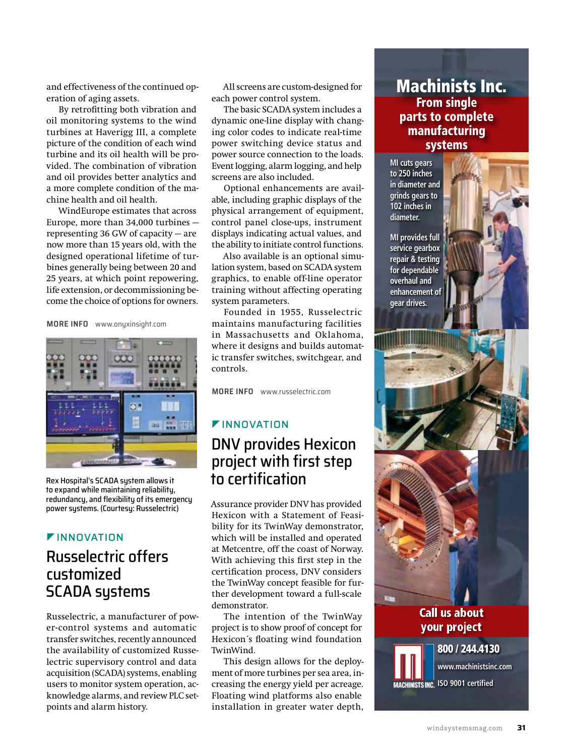and effectiveness of the continued operation of aging assets.

By retrofitting both vibration and oil monitoring systems to the wind turbines at Haverigg III, a complete picture of the condition of each wind turbine and its oil health will be provided. The combination of vibration and oil provides better analytics and a more complete condition of the machine health and oil health.

WindEurope estimates that across Europe, more than 34,000 turbines representing 36 GW of capacity — are now more than 15 years old, with the designed operational lifetime of turbines generally being between 20 and 25 years, at which point repowering, life extension, or decommissioning become the choice of options for owners.

**MORE INFO** [www.onyxinsight.com](http://www.onyxinsight.com)



Rex Hospital's SCADA system allows it to expand while maintaining reliability, redundancy, and flexibility of its emergency power systems. (Courtesy: Russelectric)

### **FINNOVATION**

## Russelectric offers customized SCADA systems

Russelectric, a manufacturer of power-control systems and automatic transfer switches, recently announced the availability of customized Russelectric supervisory control and data acquisition (SCADA) systems, enabling users to monitor system operation, acknowledge alarms, and review PLC setpoints and alarm history.

All screens are custom-designed for each power control system.

The basic SCADA system includes a dynamic one-line display with changing color codes to indicate real-time power switching device status and power source connection to the loads. Event logging, alarm logging, and help screens are also included.

Optional enhancements are available, including graphic displays of the physical arrangement of equipment, control panel close-ups, instrument displays indicating actual values, and the ability to initiate control functions.

Also available is an optional simulation system, based on SCADA system graphics, to enable off-line operator training without affecting operating system parameters.

Founded in 1955, Russelectric maintains manufacturing facilities in Massachusetts and Oklahoma, where it designs and builds automatic transfer switches, switchgear, and controls.

**MORE INFO** [www.russelectric.com](http://www.russelectric.com)

#### **FINNOVATION**

## DNV provides Hexicon project with first step to certification

Assurance provider DNV has provided Hexicon with a Statement of Feasibility for its TwinWay demonstrator, which will be installed and operated at Metcentre, off the coast of Norway. With achieving this first step in the certification process, DNV considers the TwinWay concept feasible for further development toward a full-scale demonstrator.

The intention of the TwinWay project is to show proof of concept for Hexicon´s floating wind foundation TwinWind.

This design allows for the deployment of more turbines per sea area, increasing the energy yield per acreage. Floating wind platforms also enable installation in greater water depth,

#### Machinists Inc. From single parts to complete manufacturing systems

**MI cuts gears to 250 inches in diameter and grinds gears to 102 inches in diameter.**

**MI provides full service gearbox repair & testing for dependable overhaul and enhancement of gear drives.**





#### Call us about your project

#### 800 / 244.4130

**[www.machinistsinc.com](http://www.machinistsinc.com)**

**IMACHINISTS INC. ISO 9001 certified**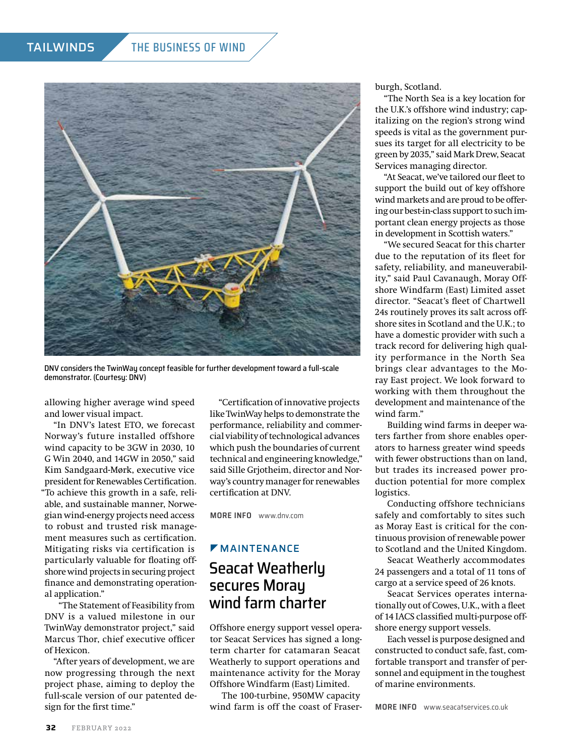#### TAILWINDS THE BUSINESS OF WIND



DNV considers the TwinWay concept feasible for further development toward a full-scale demonstrator. (Courtesy: DNV)

allowing higher average wind speed and lower visual impact.

"In DNV's latest ETO, we forecast Norway's future installed offshore wind capacity to be 3GW in 2030, 10 G Win 2040, and 14GW in 2050," said Kim Sandgaard-Mørk, executive vice president for Renewables Certification. "To achieve this growth in a safe, reliable, and sustainable manner, Norwegian wind-energy projects need access to robust and trusted risk management measures such as certification. Mitigating risks via certification is particularly valuable for floating offshore wind projects in securing project finance and demonstrating operational application."

 "The Statement of Feasibility from DNV is a valued milestone in our TwinWay demonstrator project," said Marcus Thor, chief executive officer of Hexicon.

"After years of development, we are now progressing through the next project phase, aiming to deploy the full-scale version of our patented design for the first time."

"Certification of innovative projects like TwinWay helps to demonstrate the performance, reliability and commercial viability of technological advances which push the boundaries of current technical and engineering knowledge," said Sille Grjotheim, director and Norway's country manager for renewables certification at DNV.

**MORE INFO** [www.dnv.com](http://www.dnv.com)

## **MAINTENANCE** Seacat Weatherly secures Morau wind farm charter

Offshore energy support vessel operator Seacat Services has signed a longterm charter for catamaran Seacat Weatherly to support operations and maintenance activity for the Moray Offshore Windfarm (East) Limited.

The 100-turbine, 950MW capacity wind farm is off the coast of Fraserburgh, Scotland.

"The North Sea is a key location for the U.K.'s offshore wind industry; capitalizing on the region's strong wind speeds is vital as the government pursues its target for all electricity to be green by 2035," said Mark Drew, Seacat Services managing director.

"At Seacat, we've tailored our fleet to support the build out of key offshore wind markets and are proud to be offering our best-in-class support to such important clean energy projects as those in development in Scottish waters."

"We secured Seacat for this charter due to the reputation of its fleet for safety, reliability, and maneuverability," said Paul Cavanaugh, Moray Offshore Windfarm (East) Limited asset director. "Seacat's fleet of Chartwell 24s routinely proves its salt across offshore sites in Scotland and the U.K.; to have a domestic provider with such a track record for delivering high quality performance in the North Sea brings clear advantages to the Moray East project. We look forward to working with them throughout the development and maintenance of the wind farm."

Building wind farms in deeper waters farther from shore enables operators to harness greater wind speeds with fewer obstructions than on land, but trades its increased power production potential for more complex logistics.

Conducting offshore technicians safely and comfortably to sites such as Moray East is critical for the continuous provision of renewable power to Scotland and the United Kingdom.

Seacat Weatherly accommodates 24 passengers and a total of 11 tons of cargo at a service speed of 26 knots.

Seacat Services operates internationally out of Cowes, U.K., with a fleet of 14 IACS classified multi-purpose offshore energy support vessels.

Each vessel is purpose designed and constructed to conduct safe, fast, comfortable transport and transfer of personnel and equipment in the toughest of marine environments.

**MORE INFO** [www.seacatservices.co.uk](http://www.seacatservices.co.uk)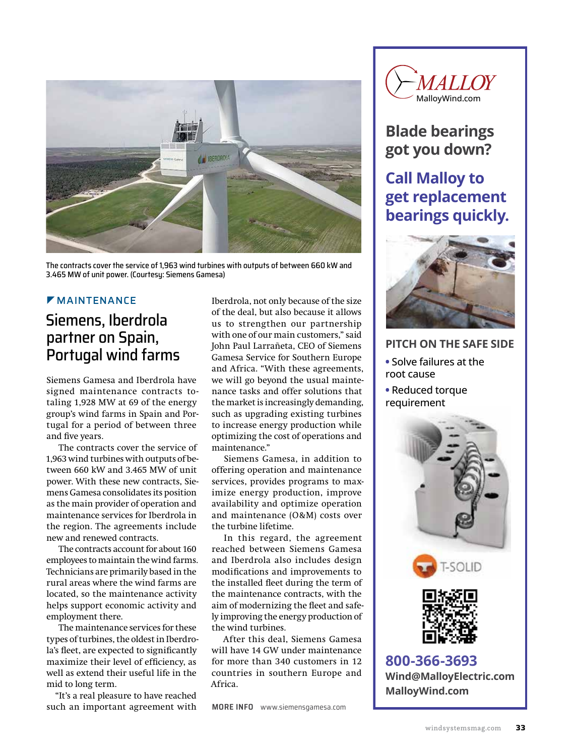

The contracts cover the service of 1,963 wind turbines with outputs of between 660 kW and 3.465 MW of unit power. (Courtesy: Siemens Gamesa)

#### **MAINTENANCE**

## Siemens, Iberdrola partner on Spain, Portugal wind farms

Siemens Gamesa and Iberdrola have signed maintenance contracts totaling 1,928 MW at 69 of the energy group's wind farms in Spain and Portugal for a period of between three and five years.

The contracts cover the service of 1,963 wind turbines with outputs of between 660 kW and 3.465 MW of unit power. With these new contracts, Siemens Gamesa consolidates its position as the main provider of operation and maintenance services for Iberdrola in the region. The agreements include new and renewed contracts.

The contracts account for about 160 employees to maintain the wind farms. Technicians are primarily based in the rural areas where the wind farms are located, so the maintenance activity helps support economic activity and employment there.

The maintenance services for these types of turbines, the oldest in Iberdrola's fleet, are expected to significantly maximize their level of efficiency, as well as extend their useful life in the mid to long term.

"It's a real pleasure to have reached such an important agreement with

Iberdrola, not only because of the size of the deal, but also because it allows us to strengthen our partnership with one of our main customers," said John Paul Larrañeta, CEO of Siemens Gamesa Service for Southern Europe and Africa. "With these agreements, we will go beyond the usual maintenance tasks and offer solutions that the market is increasingly demanding, such as upgrading existing turbines to increase energy production while optimizing the cost of operations and maintenance."

Siemens Gamesa, in addition to offering operation and maintenance services, provides programs to maximize energy production, improve availability and optimize operation and maintenance (O&M) costs over the turbine lifetime.

In this regard, the agreement reached between Siemens Gamesa and Iberdrola also includes design modifications and improvements to the installed fleet during the term of the maintenance contracts, with the aim of modernizing the fleet and safely improving the energy production of the wind turbines.

After this deal, Siemens Gamesa will have 14 GW under maintenance for more than 340 customers in 12 countries in southern Europe and Africa.

**MORE INFO** [www.siemensgamesa.com](http://www.siemensgamesa.com)



## **Blade bearings got you down?**

## **Call Malloy to get replacement bearings quickly.**



#### **PITCH ON THE SAFE SIDE**

- **•** Solve failures at the root cause
- **•** Reduced torque requirement



**800-366-3693 [Wind@MalloyElectric.com](mailto:Wind@MalloyElectric.com?subject=Referred by Wind Systems) [MalloyWind.com](http://malloywind.com)**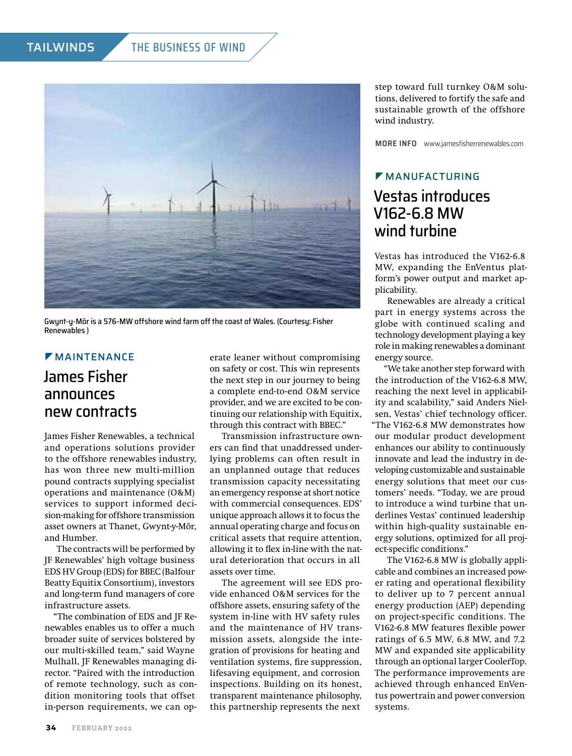

Gwynt-y-Môr is a 576-MW offshore wind farm off the coast of Wales. (Courtesy: Fisher Renewables )

## **MAINTENANCE**

## James Fisher announces new contracts

James Fisher Renewables, a technical and operations solutions provider to the offshore renewables industry, has won three new multi-million pound contracts supplying specialist operations and maintenance (O&M) services to support informed decision-making for offshore transmission asset owners at Thanet, Gwynt-y-Môr, and Humber.

The contracts will be performed by JF Renewables' high voltage business EDS HV Group (EDS) for BBEC (Balfour Beatty Equitix Consortium), investors and long-term fund managers of core infrastructure assets.

"The combination of EDS and JF Renewables enables us to offer a much broader suite of services bolstered by our multi-skilled team," said Wayne Mulhall, JF Renewables managing director. "Paired with the introduction of remote technology, such as condition monitoring tools that offset in-person requirements, we can operate leaner without compromising on safety or cost. This win represents the next step in our journey to being a complete end-to-end O&M service provider, and we are excited to be continuing our relationship with Equitix, through this contract with BBEC."

Transmission infrastructure owners can find that unaddressed underlying problems can often result in an unplanned outage that reduces transmission capacity necessitating an emergency response at short notice with commercial consequences. EDS' unique approach allows it to focus the annual operating charge and focus on critical assets that require attention, allowing it to flex in-line with the natural deterioration that occurs in all assets over time.

The agreement will see EDS provide enhanced O&M services for the offshore assets, ensuring safety of the system in-line with HV safety rules and the maintenance of HV transmission assets, alongside the integration of provisions for heating and ventilation systems, fire suppression, lifesaving equipment, and corrosion inspections. Building on its honest, transparent maintenance philosophy, this partnership represents the next

step toward full turnkey O&M solutions, delivered to fortify the safe and sustainable growth of the offshore wind industry.

**MORE INFO** [www.jamesfisherrenewables.com](http://www.jamesfisherrenewables.com)

#### $M$ MANUFACTURING

## Vestas introduces V162-6.8 MW wind turbine

Vestas has introduced the V162-6.8 MW, expanding the EnVentus platform's power output and market applicability.

Renewables are already a critical part in energy systems across the globe with continued scaling and technology development playing a key role in making renewables a dominant energy source.

"We take another step forward with the introduction of the V162-6.8 MW, reaching the next level in applicability and scalability," said Anders Nielsen, Vestas' chief technology officer. "The V162-6.8 MW demonstrates how our modular product development enhances our ability to continuously innovate and lead the industry in developing customizable and sustainable energy solutions that meet our customers' needs. "Today, we are proud to introduce a wind turbine that underlines Vestas' continued leadership within high-quality sustainable energy solutions, optimized for all project-specific conditions."

The V162-6.8 MW is globally applicable and combines an increased power rating and operational flexibility to deliver up to 7 percent annual energy production (AEP) depending on project-specific conditions. The V162-6.8 MW features flexible power ratings of 6.5 MW, 6.8 MW, and 7.2 MW and expanded site applicability through an optional larger CoolerTop. The performance improvements are achieved through enhanced EnVentus powertrain and power conversion systems.